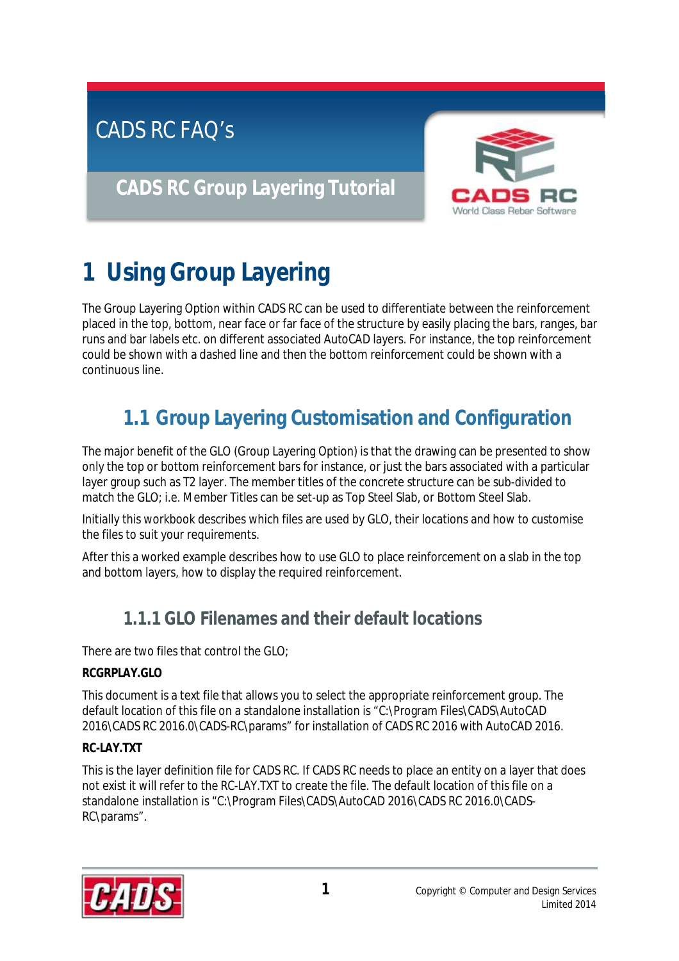# CADS RC FAQ's

# **CADS RC Group Layering Tutorial**



# **1 Using Group Layering**

The Group Layering Option within CADS RC can be used to differentiate between the reinforcement placed in the top, bottom, near face or far face of the structure by easily placing the bars, ranges, bar runs and bar labels etc. on different associated AutoCAD layers. For instance, the top reinforcement could be shown with a dashed line and then the bottom reinforcement could be shown with a continuous line.

# **1.1 Group Layering Customisation and Configuration**

The major benefit of the GLO (Group Layering Option) is that the drawing can be presented to show only the top or bottom reinforcement bars for instance, or just the bars associated with a particular layer group such as T2 layer. The member titles of the concrete structure can be sub-divided to match the GLO; i.e. Member Titles can be set-up as Top Steel Slab, or Bottom Steel Slab.

Initially this workbook describes which files are used by GLO, their locations and how to customise the files to suit your requirements.

After this a worked example describes how to use GLO to place reinforcement on a slab in the top and bottom layers, how to display the required reinforcement.

#### **1.1.1 GLO Filenames and their default locations**

There are two files that control the GLO;

#### **RCGRPLAY.GLO**

This document is a text file that allows you to select the appropriate reinforcement group. The default location of this file on a standalone installation is "C:\Program Files\CADS\AutoCAD 2016\CADS RC 2016.0\CADS-RC\params" for installation of CADS RC 2016 with AutoCAD 2016.

#### **RC-LAY.TXT**

This is the layer definition file for CADS RC. If CADS RC needs to place an entity on a layer that does not exist it will refer to the RC-LAY.TXT to create the file. The default location of this file on a standalone installation is "C:\Program Files\CADS\AutoCAD 2016\CADS RC 2016.0\CADS-RC\params".

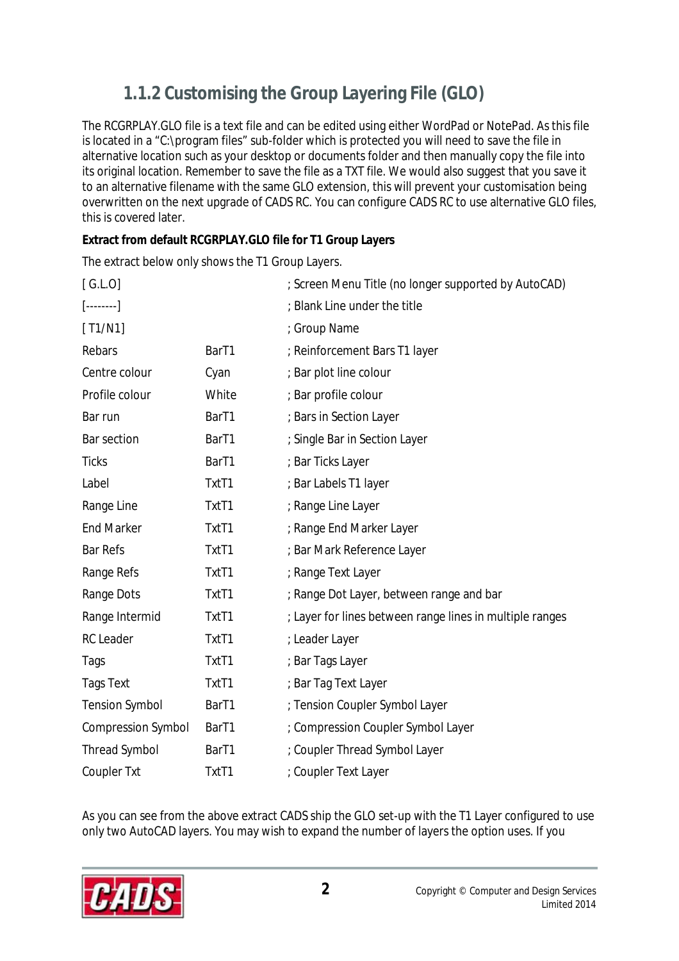# **1.1.2 Customising the Group Layering File (GLO)**

The RCGRPLAY.GLO file is a text file and can be edited using either WordPad or NotePad. As this file is located in a "C:\program files" sub-folder which is protected you will need to save the file in alternative location such as your desktop or documents folder and then manually copy the file into its original location. Remember to save the file as a TXT file. We would also suggest that you save it to an alternative filename with the same GLO extension, this will prevent your customisation being overwritten on the next upgrade of CADS RC. You can configure CADS RC to use alternative GLO files, this is covered later.

**Extract from default RCGRPLAY.GLO file for T1 Group Layers** 

The extract below only shows the T1 Group Layers.

| [G.L.0]                    |                   | ; Screen Menu Title (no longer supported by AutoCAD)     |
|----------------------------|-------------------|----------------------------------------------------------|
| $[\ldots, \ldots, \ldots]$ |                   | ; Blank Line under the title                             |
| [T1/N1]                    |                   | ; Group Name                                             |
| Rebars                     | Bar <sub>T1</sub> | ; Reinforcement Bars T1 layer                            |
| Centre colour              | Cyan              | ; Bar plot line colour                                   |
| Profile colour             | White             | ; Bar profile colour                                     |
| Bar run                    | Bar <sub>T1</sub> | ; Bars in Section Layer                                  |
| <b>Bar section</b>         | Bar <sub>T1</sub> | ; Single Bar in Section Layer                            |
| <b>Ticks</b>               | Bar <sub>T1</sub> | ; Bar Ticks Layer                                        |
| Label                      | TxtT1             | ; Bar Labels T1 layer                                    |
| Range Line                 | TxtT1             | ; Range Line Layer                                       |
| <b>End Marker</b>          | TxtT1             | ; Range End Marker Layer                                 |
| <b>Bar Refs</b>            | TxtT1             | ; Bar Mark Reference Layer                               |
| <b>Range Refs</b>          | TxtT1             | ; Range Text Layer                                       |
| <b>Range Dots</b>          | TxtT1             | ; Range Dot Layer, between range and bar                 |
| Range Intermid             | TxtT1             | ; Layer for lines between range lines in multiple ranges |
| <b>RC</b> Leader           | TxtT1             | ; Leader Layer                                           |
| Tags                       | TxtT1             | ; Bar Tags Layer                                         |
| <b>Tags Text</b>           | TxtT1             | ; Bar Tag Text Layer                                     |
| <b>Tension Symbol</b>      | Bar <sub>T1</sub> | ; Tension Coupler Symbol Layer                           |
| <b>Compression Symbol</b>  | Bar <sub>T1</sub> | ; Compression Coupler Symbol Layer                       |
| <b>Thread Symbol</b>       | Bar <sub>T1</sub> | ; Coupler Thread Symbol Layer                            |
| <b>Coupler Txt</b>         | TxtT1             | ; Coupler Text Layer                                     |

As you can see from the above extract CADS ship the GLO set-up with the T1 Layer configured to use only two AutoCAD layers. You may wish to expand the number of layers the option uses. If you

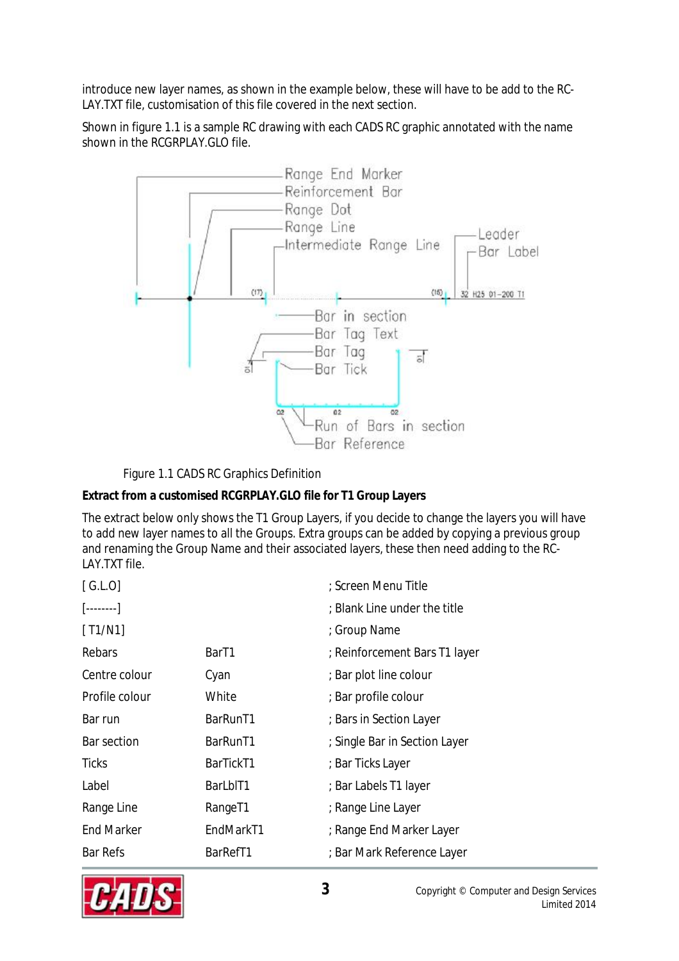introduce new layer names, as shown in the example below, these will have to be add to the RC-LAY.TXT file, customisation of this file covered in the next section.

Shown in figure 1.1 is a sample RC drawing with each CADS RC graphic annotated with the name shown in the RCGRPLAY.GLO file.



Figure 1.1 CADS RC Graphics Definition

**Extract from a customised RCGRPLAY.GLO file for T1 Group Layers** 

The extract below only shows the T1 Group Layers, if you decide to change the layers you will have to add new layer names to all the Groups. Extra groups can be added by copying a previous group and renaming the Group Name and their associated layers, these then need adding to the RC-LAY.TXT file.

| [G.L.0]                  |                     | ; Screen Menu Title           |
|--------------------------|---------------------|-------------------------------|
| $[\ldots \ldots \ldots]$ |                     | ; Blank Line under the title  |
| [T1/N1]                  |                     | ; Group Name                  |
| Rebars                   | Bar <sub>T1</sub>   | ; Reinforcement Bars T1 layer |
| Centre colour            | Cyan                | ; Bar plot line colour        |
| Profile colour           | White               | ; Bar profile colour          |
| Bar run                  | BarRunT1            | ; Bars in Section Layer       |
| <b>Bar section</b>       | BarRunT1            | ; Single Bar in Section Layer |
| <b>Ticks</b>             | BarTickT1           | ; Bar Ticks Layer             |
| Label                    | BarLbIT1            | ; Bar Labels T1 layer         |
| Range Line               | Range <sub>T1</sub> | ; Range Line Layer            |
| <b>End Marker</b>        | EndMarkT1           | ; Range End Marker Layer      |
| <b>Bar Refs</b>          | BarRefT1            | ; Bar Mark Reference Layer    |

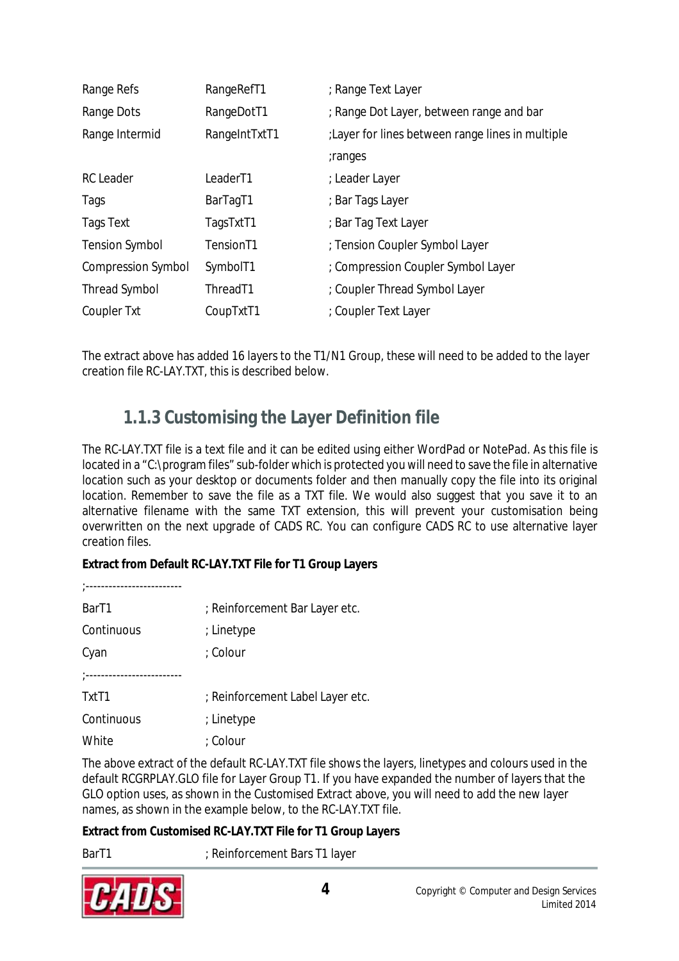| Range Refs                | RangeRefT1            | ; Range Text Layer                                |
|---------------------------|-----------------------|---------------------------------------------------|
| Range Dots                | RangeDotT1            | ; Range Dot Layer, between range and bar          |
| Range Intermid            | RangeIntTxtT1         | : Layer for lines between range lines in multiple |
|                           |                       | ;ranges                                           |
| <b>RC</b> Leader          | Leader <sub>T1</sub>  | : Leader Layer                                    |
| Tags                      | BarTagT1              | ; Bar Tags Layer                                  |
| <b>Tags Text</b>          | TagsTxtT1             | ; Bar Tag Text Layer                              |
| <b>Tension Symbol</b>     | Tension <sub>T1</sub> | ; Tension Coupler Symbol Layer                    |
| <b>Compression Symbol</b> | SymbolT1              | : Compression Coupler Symbol Layer                |
| <b>Thread Symbol</b>      | Thread <sub>T1</sub>  | ; Coupler Thread Symbol Layer                     |
| <b>Coupler Txt</b>        | CoupTxtT1             | ; Coupler Text Layer                              |

The extract above has added 16 layers to the T1/N1 Group, these will need to be added to the layer creation file RC-LAY.TXT, this is described below.

#### **1.1.3 Customising the Layer Definition file**

The RC-LAY.TXT file is a text file and it can be edited using either WordPad or NotePad. As this file is located in a "C:\program files" sub-folder which is protected you will need to save the file in alternative location such as your desktop or documents folder and then manually copy the file into its original location. Remember to save the file as a TXT file. We would also suggest that you save it to an alternative filename with the same TXT extension, this will prevent your customisation being overwritten on the next upgrade of CADS RC. You can configure CADS RC to use alternative layer creation files.

**Extract from Default RC-LAY.TXT File for T1 Group Layers** 

;-------------------------

| Bar <sub>T1</sub>   | ; Reinforcement Bar Layer etc. |
|---------------------|--------------------------------|
| Continuous          | ; Linetype                     |
| Cyan                | : Colour                       |
| *------------------ |                                |

| TxtT1      | ; Reinforcement Label Layer etc. |
|------------|----------------------------------|
| Continuous | ; Linetype                       |
| White      | : Colour                         |

The above extract of the default RC-LAY.TXT file shows the layers, linetypes and colours used in the default RCGRPLAY.GLO file for Layer Group T1. If you have expanded the number of layers that the GLO option uses, as shown in the Customised Extract above, you will need to add the new layer names, as shown in the example below, to the RC-LAY.TXT file.

**Extract from Customised RC-LAY.TXT File for T1 Group Layers** 

BarT1 ; Reinforcement Bars T1 layer

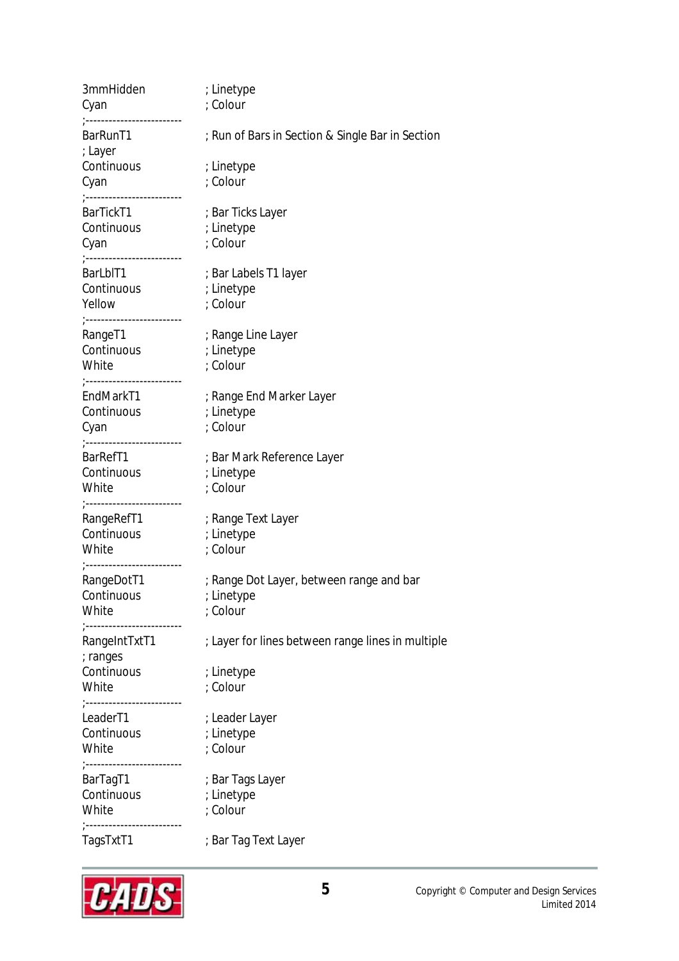| 3mmHidden<br>Cyan<br>;------------------------                            | ; Linetype<br>: Colour                                                                                                                                       |
|---------------------------------------------------------------------------|--------------------------------------------------------------------------------------------------------------------------------------------------------------|
| BarRunT1<br>; Layer                                                       | ; Run of Bars in Section & Single Bar in Section                                                                                                             |
| Continuous<br>Cyan<br>;------------------------                           | ; Linetype<br>; Colour                                                                                                                                       |
| BarTickT1<br>Continuous<br>Cyan<br>Cyan<br>;-------------------------     | ; Bar Ticks Layer<br>; Linetype<br>; Colour                                                                                                                  |
| BarLbIT1<br>Continuous ; Linetype<br>Yellow<br>;------------------------- | ; Bar Labels T1 layer<br>; Colour                                                                                                                            |
| RangeT1<br>Continuous<br>White<br>;------------------------               | ; Range Line Layer<br>; Linetype<br>; Colour                                                                                                                 |
| EndMarkT1<br><b>Continuous</b><br>Cyan<br>;------------------------       | ; Range End Marker Layer<br>; Linetype<br>; Colour                                                                                                           |
| BarRefT1<br>Continuous<br>White                                           | ; Bar Mark Reference Layer<br>; Linetype<br>; Colour                                                                                                         |
| ;------------------------<br>RangeRefT1<br>Continuous<br>White            | ; Range Text Layer<br>; Linetype<br>; Colour                                                                                                                 |
| ;-------------------------<br>RangeDotT1<br>White                         | ; Range Dot Layer, between range and bar<br>Continuous the state of the state of the state of the state of the state of the state of the state o<br>; Colour |
| ;------------------------<br>RangeIntTxtT1<br>; ranges                    | : Layer for lines between range lines in multiple                                                                                                            |
| Continuous<br>White<br>;------------------------                          | ; Linetype<br>; Colour                                                                                                                                       |
| LeaderT1<br><b>Continuous</b><br>White                                    | ; Leader Layer<br>; Linetype<br>; Colour                                                                                                                     |
| ;------------------------<br>BarTagT1<br>Continuous<br>White              | ; Bar Tags Layer<br>; Linetype<br>; Colour                                                                                                                   |
| ;------------------------<br>TagsTxtT1                                    | ; Bar Tag Text Layer                                                                                                                                         |

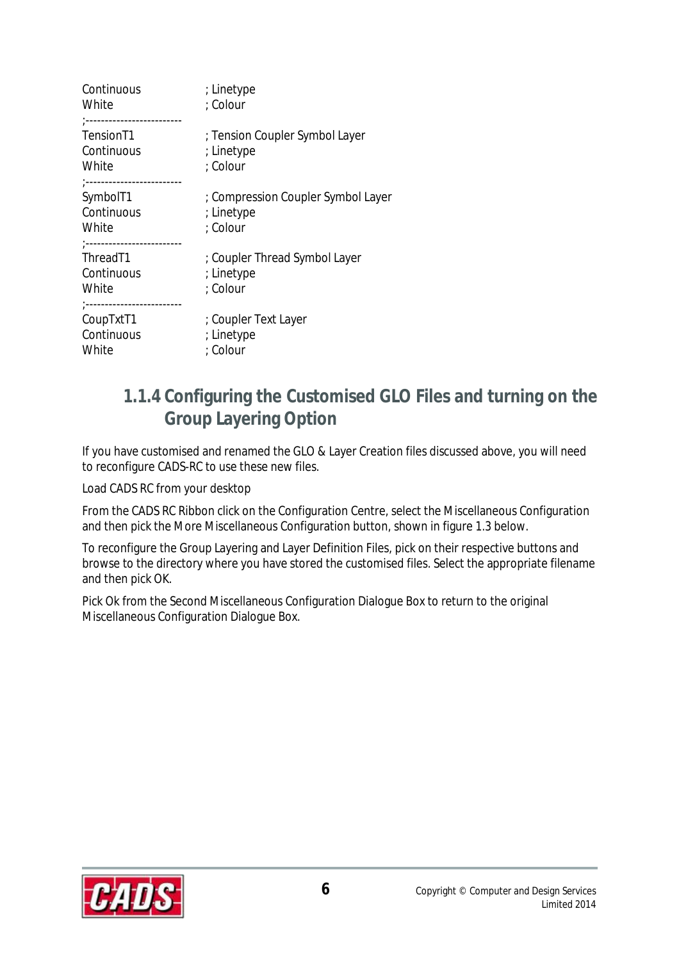| Continuous<br>White                                                                        | ; Linetype<br>; Colour                                       |
|--------------------------------------------------------------------------------------------|--------------------------------------------------------------|
| <br>Tension <sub>T1</sub><br>Continuous<br>White                                           | ; Tension Coupler Symbol Layer<br>; Linetype<br>; Colour     |
| ;------------------------<br>SymbolT1<br>Continuous<br>White<br>;------------------------- | : Compression Coupler Symbol Layer<br>; Linetype<br>; Colour |
| Thread <sub>T1</sub><br>Continuous<br>White<br>;------------------------                   | ; Coupler Thread Symbol Layer<br>; Linetype<br>: Colour      |
| CoupTxtT1<br>Continuous<br>White                                                           | ; Coupler Text Layer<br>; Linetype<br>; Colour               |

#### **1.1.4 Configuring the Customised GLO Files and turning on the Group Layering Option**

If you have customised and renamed the GLO & Layer Creation files discussed above, you will need to reconfigure CADS-RC to use these new files.

Load CADS RC from your desktop

From the CADS RC Ribbon click on the Configuration Centre, select the Miscellaneous Configuration and then pick the More Miscellaneous Configuration button, shown in figure 1.3 below.

To reconfigure the Group Layering and Layer Definition Files, pick on their respective buttons and browse to the directory where you have stored the customised files. Select the appropriate filename and then pick OK.

Pick Ok from the Second Miscellaneous Configuration Dialogue Box to return to the original Miscellaneous Configuration Dialogue Box.

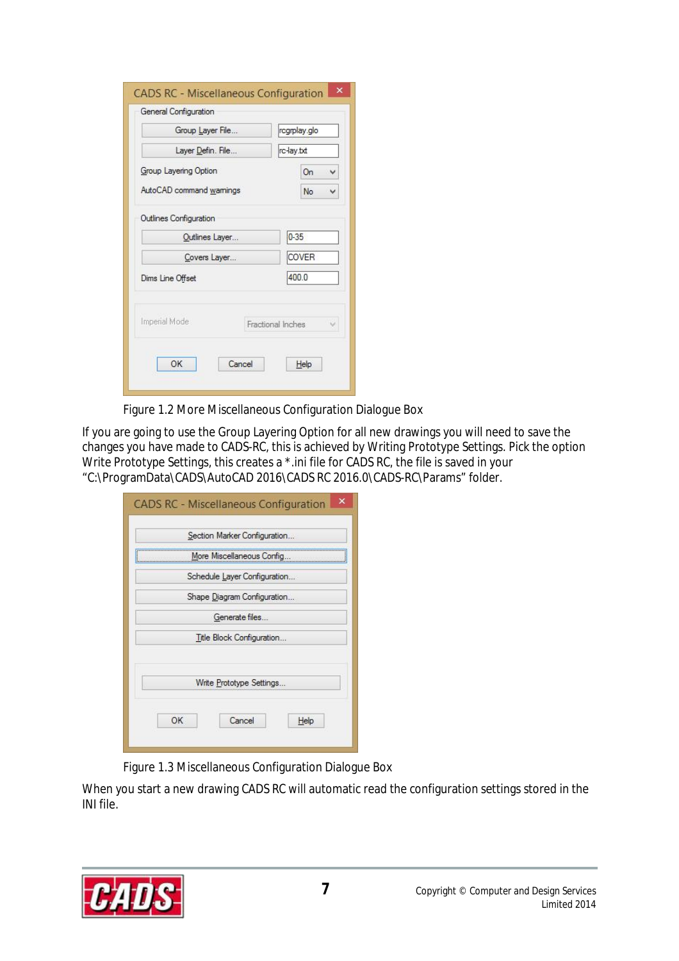| Group Laver File        | rcgrplay.glo            |
|-------------------------|-------------------------|
|                         |                         |
| Layer Defin. File       | rc-lay.txt              |
| Group Layering Option   | On<br>₩                 |
| AutoCAD command wamings | No                      |
| Covers Layer            | <b>COVER</b>            |
| Dims Line Offset        | 400.0                   |
| Imperial Mode           | Fractional Inches<br>Ŵ. |
|                         |                         |

Figure 1.2 More Miscellaneous Configuration Dialogue Box

If you are going to use the Group Layering Option for all new drawings you will need to save the changes you have made to CADS-RC, this is achieved by Writing Prototype Settings. Pick the option Write Prototype Settings, this creates a \*.ini file for CADS RC, the file is saved in your "C:\ProgramData\CADS\AutoCAD 2016\CADS RC 2016.0\CADS-RC\Params" folder.

| More Miscellaneous Config<br>Schedule Layer Configuration<br>Shape Diagram Configuration<br>Generate files<br>Title Block Configuration |  |
|-----------------------------------------------------------------------------------------------------------------------------------------|--|
|                                                                                                                                         |  |
|                                                                                                                                         |  |
|                                                                                                                                         |  |
|                                                                                                                                         |  |
|                                                                                                                                         |  |
| Write Prototype Settings                                                                                                                |  |
|                                                                                                                                         |  |

Figure 1.3 Miscellaneous Configuration Dialogue Box

When you start a new drawing CADS RC will automatic read the configuration settings stored in the INI file.

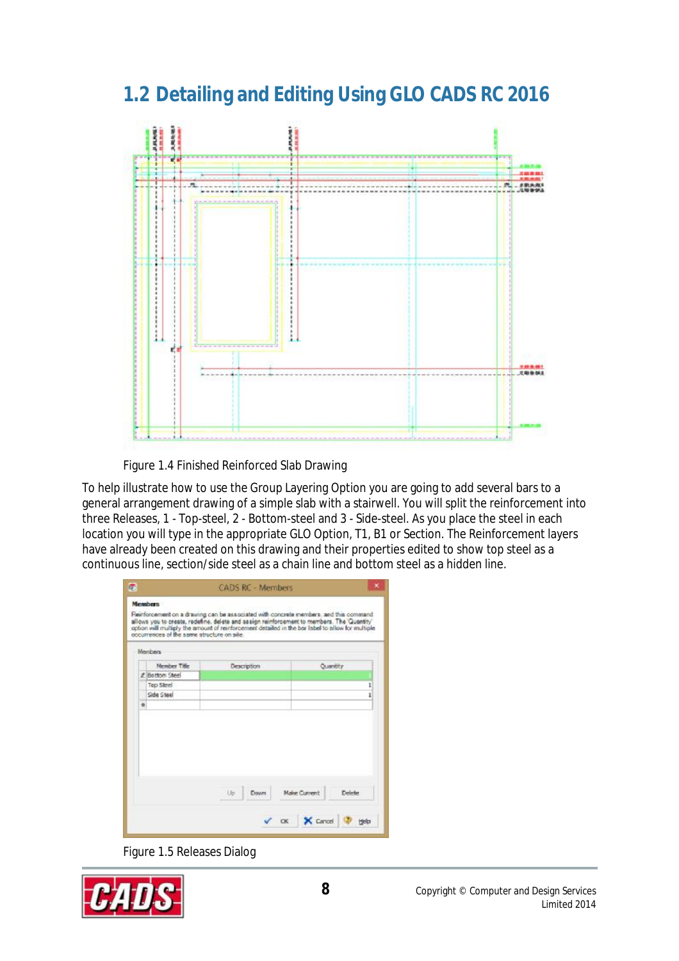# **1.2 Detailing and Editing Using GLO CADS RC 2016**



Figure 1.4 Finished Reinforced Slab Drawing

To help illustrate how to use the Group Layering Option you are going to add several bars to a general arrangement drawing of a simple slab with a stairwell. You will split the reinforcement into three Releases, 1 - Top-steel, 2 - Bottom-steel and 3 - Side-steel. As you place the steel in each location you will type in the appropriate GLO Option, T1, B1 or Section. The Reinforcement layers have already been created on this drawing and their properties edited to show top steel as a continuous line, section/side steel as a chain line and bottom steel as a hidden line.

| Members                               |              |                               |
|---------------------------------------|--------------|-------------------------------|
| <b>Nember Title</b><br># Bottom Steel | Description  | Quantity                      |
| Top Steel                             |              | ı                             |
| Side Steel                            |              | i                             |
|                                       |              |                               |
|                                       | Libr<br>Down | Make Current<br><b>Delete</b> |

Figure 1.5 Releases Dialog

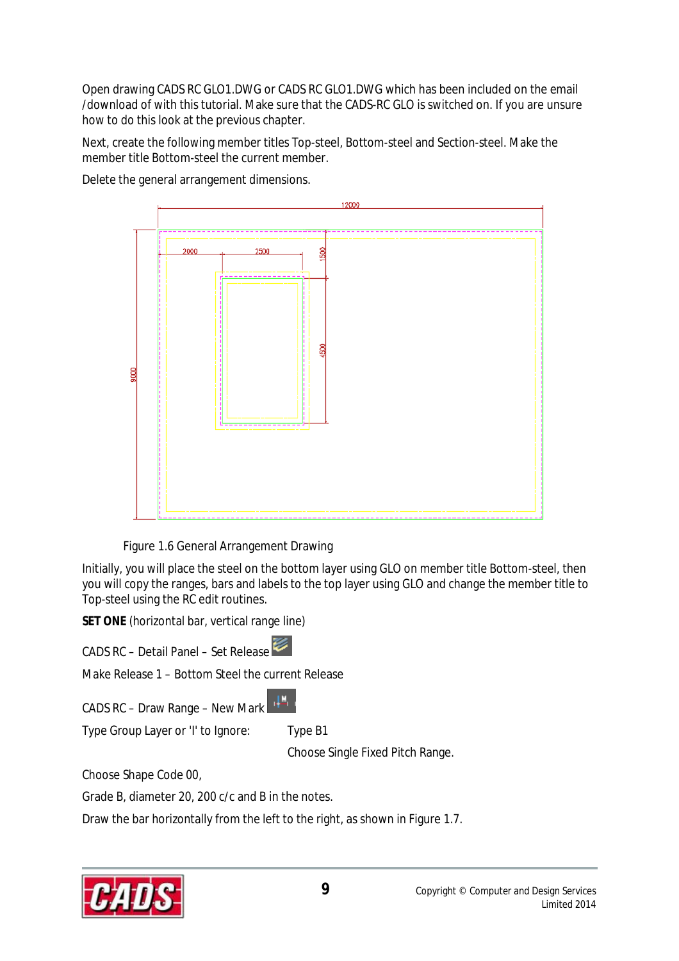Open drawing CADS RC GLO1.DWG or CADS RC GLO1.DWG which has been included on the email /download of with this tutorial. Make sure that the CADS-RC GLO is switched on. If you are unsure how to do this look at the previous chapter.

Next, create the following member titles Top-steel, Bottom-steel and Section-steel. Make the member title Bottom-steel the current member.

Delete the general arrangement dimensions.



Figure 1.6 General Arrangement Drawing

Initially, you will place the steel on the bottom layer using GLO on member title Bottom-steel, then you will copy the ranges, bars and labels to the top layer using GLO and change the member title to Top-steel using the RC edit routines.

**SET ONE** (horizontal bar, vertical range line)

CADS RC – Detail Panel – Set Release

Make Release 1 – Bottom Steel the current Release

 $\mathcal{A}^{\text{M}}_{\text{c}}$ CADS RC – Draw Range – New Mark

Type Group Layer or 'I' to Ignore: Type B1

Choose Single Fixed Pitch Range.

Choose Shape Code 00,

Grade B, diameter 20, 200 c/c and B in the notes.

Draw the bar horizontally from the left to the right, as shown in Figure 1.7.

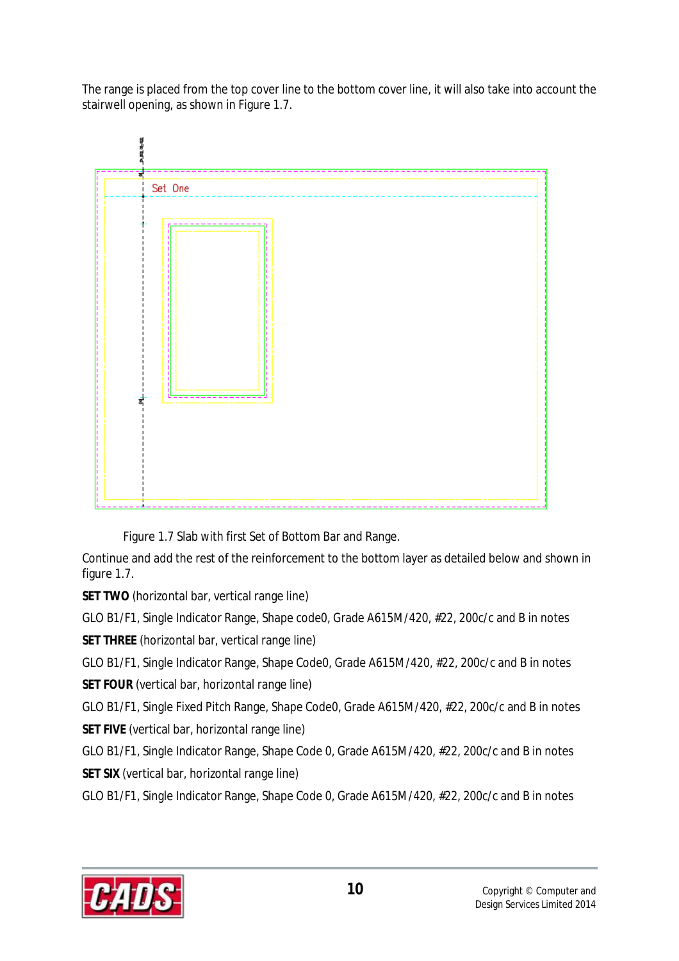The range is placed from the top cover line to the bottom cover line, it will also take into account the stairwell opening, as shown in Figure 1.7.



Figure 1.7 Slab with first Set of Bottom Bar and Range.

Continue and add the rest of the reinforcement to the bottom layer as detailed below and shown in figure 1.7.

**SET TWO** (horizontal bar, vertical range line)

GLO B1/F1, Single Indicator Range, Shape code0, Grade A615M/420, #22, 200c/c and B in notes

**SET THREE** (horizontal bar, vertical range line)

GLO B1/F1, Single Indicator Range, Shape Code0, Grade A615M/420, #22, 200c/c and B in notes **SET FOUR** (vertical bar, horizontal range line)

GLO B1/F1, Single Fixed Pitch Range, Shape Code0, Grade A615M/420, #22, 200c/c and B in notes

**SET FIVE** (vertical bar, horizontal range line)

GLO B1/F1, Single Indicator Range, Shape Code 0, Grade A615M/420, #22, 200c/c and B in notes **SET SIX** (vertical bar, horizontal range line)

GLO B1/F1, Single Indicator Range, Shape Code 0, Grade A615M/420, #22, 200c/c and B in notes

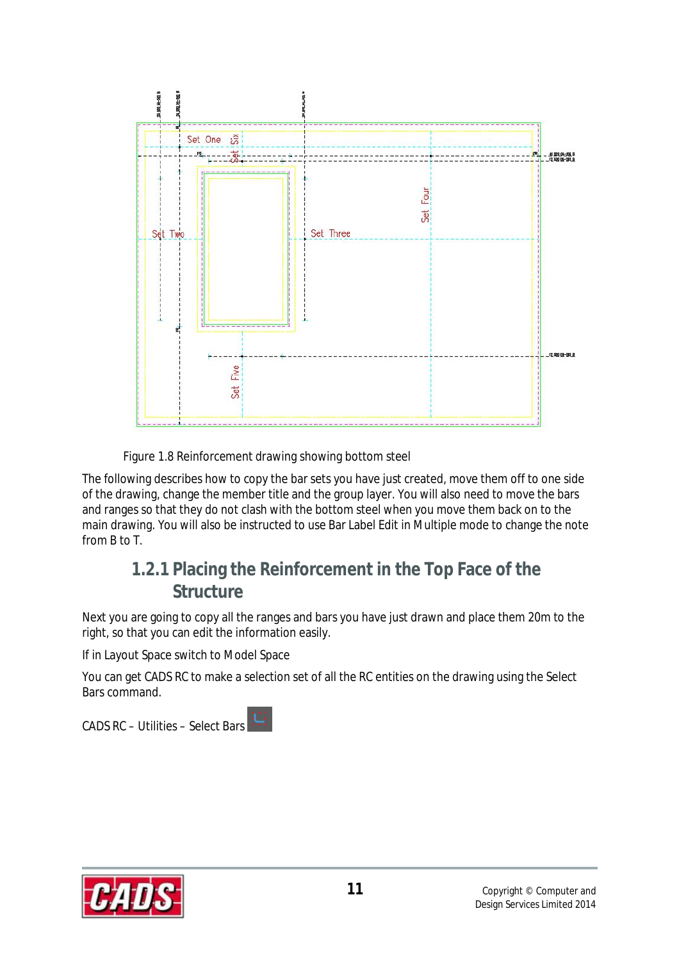

Figure 1.8 Reinforcement drawing showing bottom steel

The following describes how to copy the bar sets you have just created, move them off to one side of the drawing, change the member title and the group layer. You will also need to move the bars and ranges so that they do not clash with the bottom steel when you move them back on to the main drawing. You will also be instructed to use Bar Label Edit in Multiple mode to change the note from B to T.

#### **1.2.1 Placing the Reinforcement in the Top Face of the Structure**

Next you are going to copy all the ranges and bars you have just drawn and place them 20m to the right, so that you can edit the information easily.

If in Layout Space switch to Model Space

You can get CADS RC to make a selection set of all the RC entities on the drawing using the Select Bars command.

CADS RC – Utilities – Select Bars

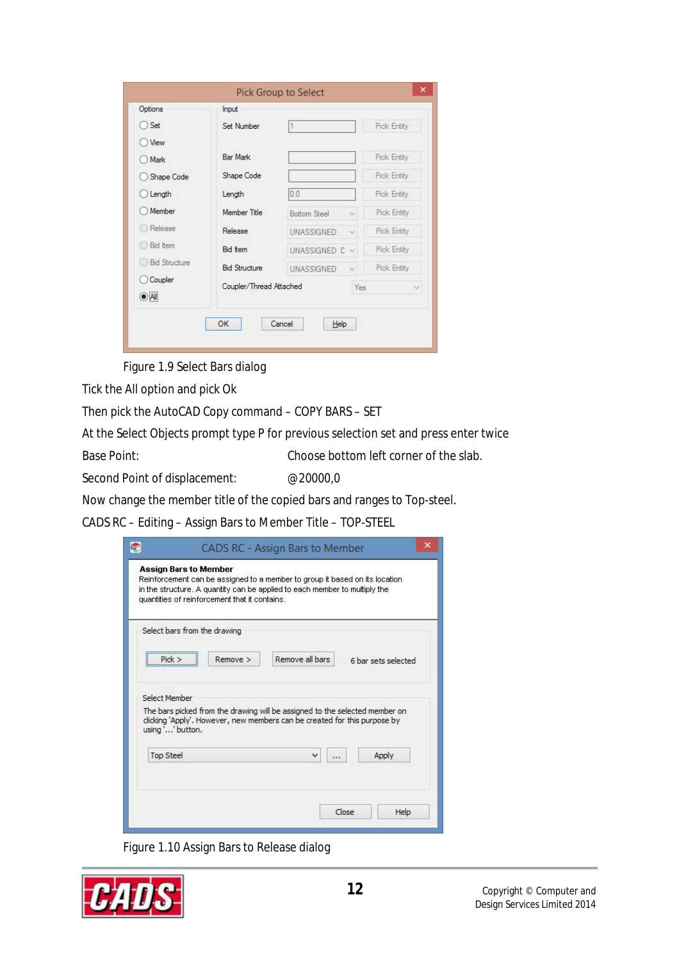| Options                | Input                   |                             |             |
|------------------------|-------------------------|-----------------------------|-------------|
| ) Set                  | Set Number              |                             | Pick Entity |
| <b>View</b>            |                         |                             |             |
| Mark                   | <b>Bar Mark</b>         |                             | Pick Entity |
| Shape Code             | Shape Code              |                             | Pick Entity |
| Length                 | Length                  | 0.0                         | Pick Entity |
| Member                 | Member Title            | <b>Bottom Steel</b><br>Ŵ.   | Pick Entity |
| Release                | Release                 | <b>UNASSIGNED</b><br>$\vee$ | Pick Entity |
| <b>Bid Item</b>        | <b>Bid Item</b>         | UNASSIGNED C<br>Ń.          | Pick Entity |
| <b>Bid Structure</b>   | <b>Bid Structure</b>    | <b>UNASSIGNED</b><br>Ŵ      | Pick Entity |
| Coupler<br>$\odot$ All | Coupler/Thread Attached | Yes                         | v           |
|                        | OK                      | Cancel<br>Help              |             |

Figure 1.9 Select Bars dialog

Tick the All option and pick Ok

Then pick the AutoCAD Copy command – COPY BARS – SET

At the Select Objects prompt type P for previous selection set and press enter twice

Base Point: Choose bottom left corner of the slab.

Second Point of displacement: @20000,0

Now change the member title of the copied bars and ranges to Top-steel.

CADS RC – Editing – Assign Bars to Member Title – TOP-STEEL

| in the structure. A quantity can be applied to each member to multiply the<br>quantities of reinforcement that it contains.                                                  |                 |                     |  |
|------------------------------------------------------------------------------------------------------------------------------------------------------------------------------|-----------------|---------------------|--|
| Select bars from the drawing                                                                                                                                                 |                 |                     |  |
| $Remove$ ><br>Pick                                                                                                                                                           | Remove all bars | 6 bar sets selected |  |
| Select Member                                                                                                                                                                |                 |                     |  |
| The bars picked from the drawing will be assigned to the selected member on<br>clicking 'Apply'. However, new members can be created for this purpose by<br>using '' button. |                 |                     |  |
| <b>Top Steel</b>                                                                                                                                                             | v<br>$\cdots$   | Apply               |  |
|                                                                                                                                                                              |                 |                     |  |

Figure 1.10 Assign Bars to Release dialog

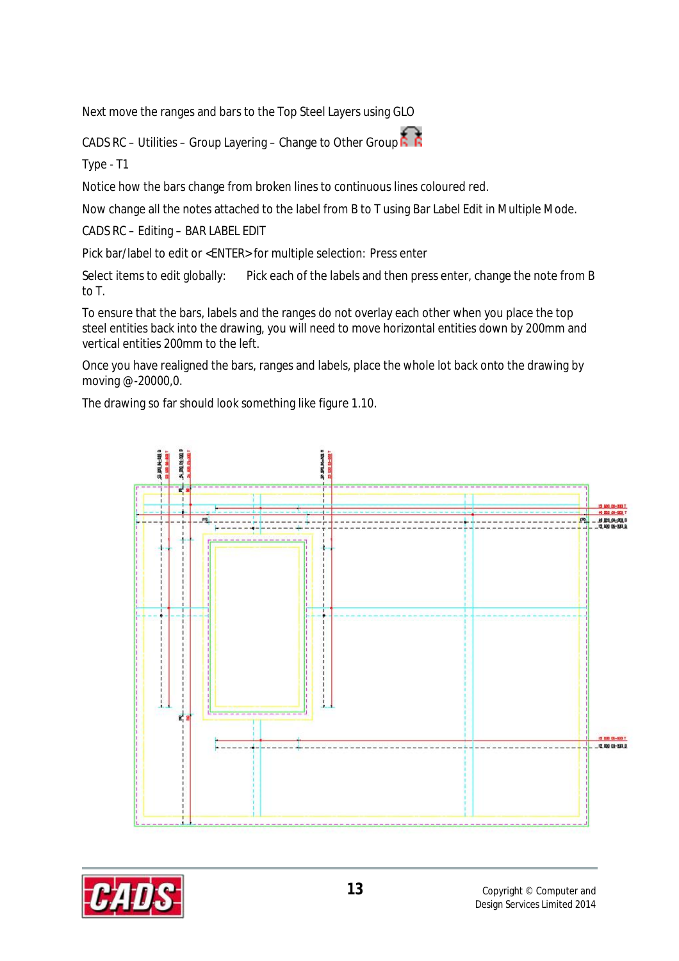Next move the ranges and bars to the Top Steel Layers using GLO

CADS RC – Utilities – Group Layering – Change to Other Group  $\overline{R}$ 

Type - T1

Notice how the bars change from broken lines to continuous lines coloured red.

Now change all the notes attached to the label from B to T using Bar Label Edit in Multiple Mode.

CADS RC – Editing – BAR LABEL EDIT

Pick bar/label to edit or <ENTER> for multiple selection: Press enter

Select items to edit globally: Pick each of the labels and then press enter, change the note from B to T.

To ensure that the bars, labels and the ranges do not overlay each other when you place the top steel entities back into the drawing, you will need to move horizontal entities down by 200mm and vertical entities 200mm to the left.

Once you have realigned the bars, ranges and labels, place the whole lot back onto the drawing by moving @-20000,0.

The drawing so far should look something like figure 1.10.



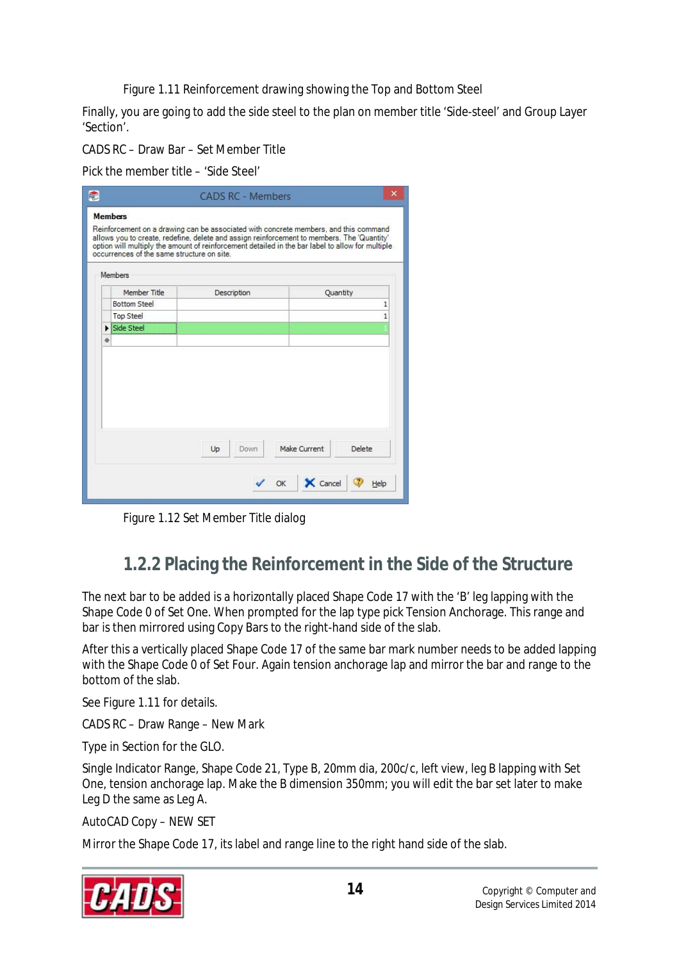Figure 1.11 Reinforcement drawing showing the Top and Bottom Steel

Finally, you are going to add the side steel to the plan on member title 'Side-steel' and Group Layer 'Section'.

CADS RC – Draw Bar – Set Member Title

Pick the member title – 'Side Steel'

|   | Member Title                   | Description | Quantity |
|---|--------------------------------|-------------|----------|
|   | <b>Bottom Steel</b>            |             |          |
|   | <b>Top Steel</b><br>Side Steel |             |          |
| ⋇ |                                |             |          |
|   |                                |             |          |

Figure 1.12 Set Member Title dialog

#### **1.2.2 Placing the Reinforcement in the Side of the Structure**

The next bar to be added is a horizontally placed Shape Code 17 with the 'B' leg lapping with the Shape Code 0 of Set One. When prompted for the lap type pick Tension Anchorage. This range and bar is then mirrored using Copy Bars to the right-hand side of the slab.

After this a vertically placed Shape Code 17 of the same bar mark number needs to be added lapping with the Shape Code 0 of Set Four. Again tension anchorage lap and mirror the bar and range to the bottom of the slab.

See Figure 1.11 for details.

CADS RC – Draw Range – New Mark

Type in Section for the GLO.

Single Indicator Range, Shape Code 21, Type B, 20mm dia, 200c/c, left view, leg B lapping with Set One, tension anchorage lap. Make the B dimension 350mm; you will edit the bar set later to make Leg D the same as Leg A.

AutoCAD Copy – NEW SET

Mirror the Shape Code 17, its label and range line to the right hand side of the slab.

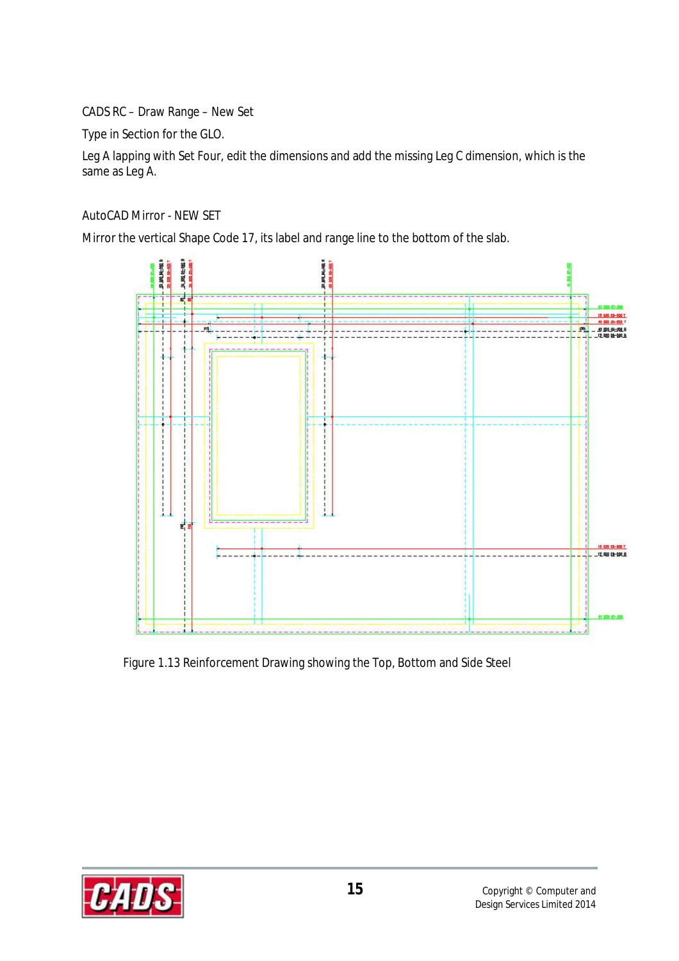CADS RC – Draw Range – New Set

Type in Section for the GLO.

Leg A lapping with Set Four, edit the dimensions and add the missing Leg C dimension, which is the same as Leg A.

AutoCAD Mirror - NEW SET

Mirror the vertical Shape Code 17, its label and range line to the bottom of the slab.



Figure 1.13 Reinforcement Drawing showing the Top, Bottom and Side Steel

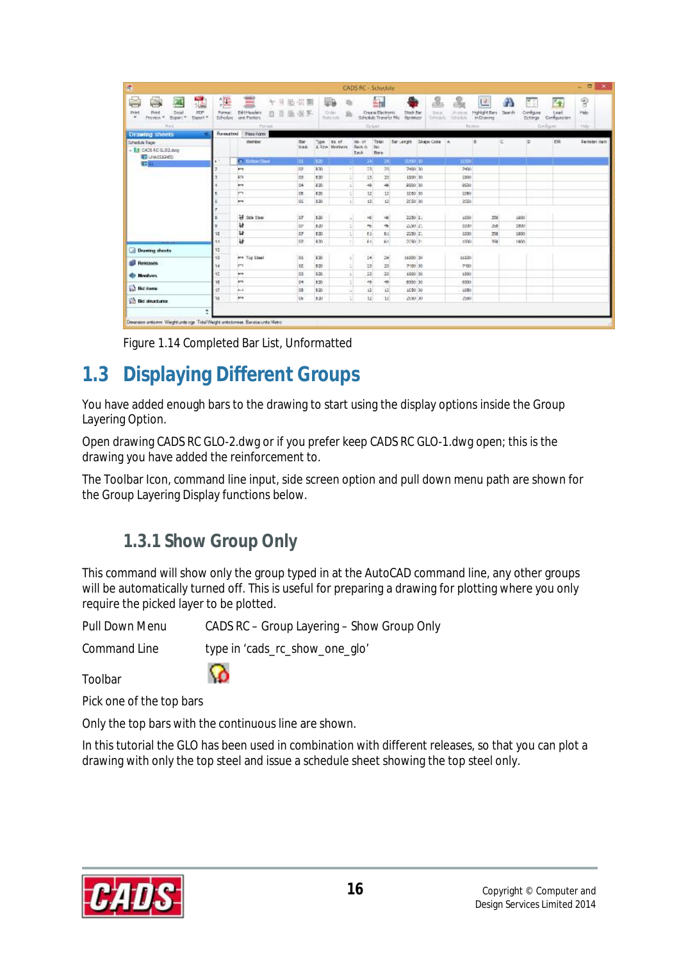| $\frac{1}{2}$<br>瑜<br>Order<br>$y_0$<br><b>Haleside</b><br>Type<br>as of<br>No: of<br>A Rice, Neidsers<br>Rais is<br>Each<br>120<br>826<br>-4.1 |
|-------------------------------------------------------------------------------------------------------------------------------------------------|
|                                                                                                                                                 |
|                                                                                                                                                 |
|                                                                                                                                                 |
|                                                                                                                                                 |
|                                                                                                                                                 |
| 120<br>회                                                                                                                                        |
| 830<br>si)                                                                                                                                      |
| 520<br>히                                                                                                                                        |
| 130<br>티                                                                                                                                        |
| - 5<br>120<br>4                                                                                                                                 |
| 쇠<br>$8 - 31$                                                                                                                                   |
| 120<br>회                                                                                                                                        |
| 658<br>$\sim$                                                                                                                                   |
|                                                                                                                                                 |
| 롸<br>420<br>치<br>320                                                                                                                            |
| 320<br>$\mathbb{Z}$                                                                                                                             |
| ÷<br>120                                                                                                                                        |
| \$20<br>9                                                                                                                                       |
| 820<br>ti                                                                                                                                       |
|                                                                                                                                                 |

Figure 1.14 Completed Bar List, Unformatted

# **1.3 Displaying Different Groups**

You have added enough bars to the drawing to start using the display options inside the Group Layering Option.

Open drawing CADS RC GLO-2.dwg or if you prefer keep CADS RC GLO-1.dwg open; this is the drawing you have added the reinforcement to.

The Toolbar Icon, command line input, side screen option and pull down menu path are shown for the Group Layering Display functions below.

### **1.3.1 Show Group Only**

This command will show only the group typed in at the AutoCAD command line, any other groups will be automatically turned off. This is useful for preparing a drawing for plotting where you only require the picked layer to be plotted.

Pull Down Menu CADS RC – Group Layering – Show Group Only

Command Line type in 'cads\_rc\_show\_one\_glo'

Toolbar

Pick one of the top bars

Only the top bars with the continuous line are shown.

Ø

In this tutorial the GLO has been used in combination with different releases, so that you can plot a drawing with only the top steel and issue a schedule sheet showing the top steel only.

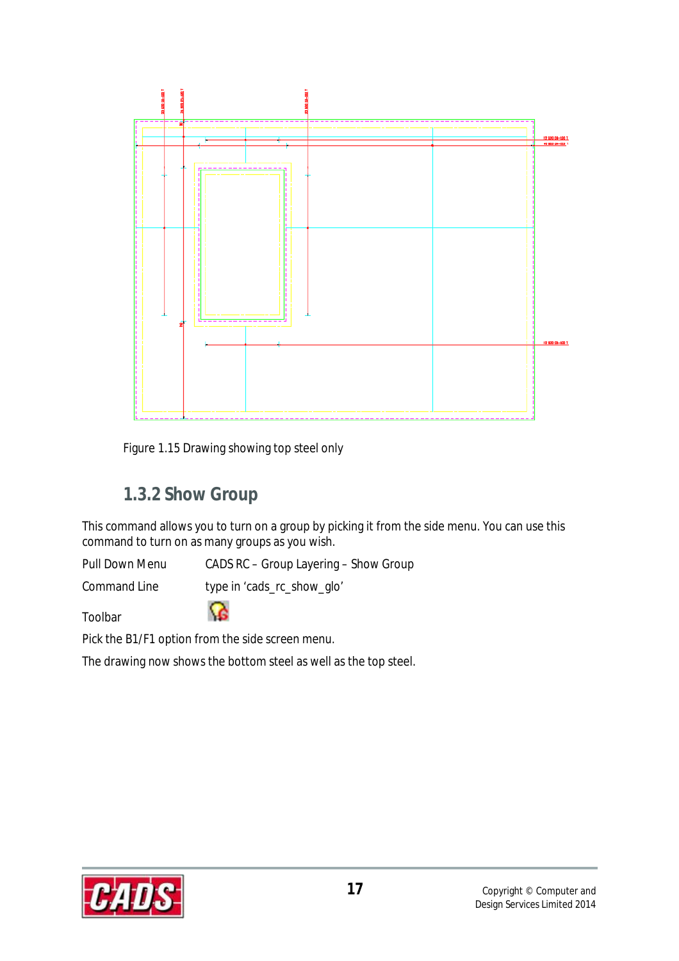

Figure 1.15 Drawing showing top steel only

### **1.3.2 Show Group**

This command allows you to turn on a group by picking it from the side menu. You can use this command to turn on as many groups as you wish.

Pull Down Menu CADS RC – Group Layering – Show Group

Command Line type in 'cads\_rc\_show\_glo'

G.

Toolbar

Pick the B1/F1 option from the side screen menu.

The drawing now shows the bottom steel as well as the top steel.

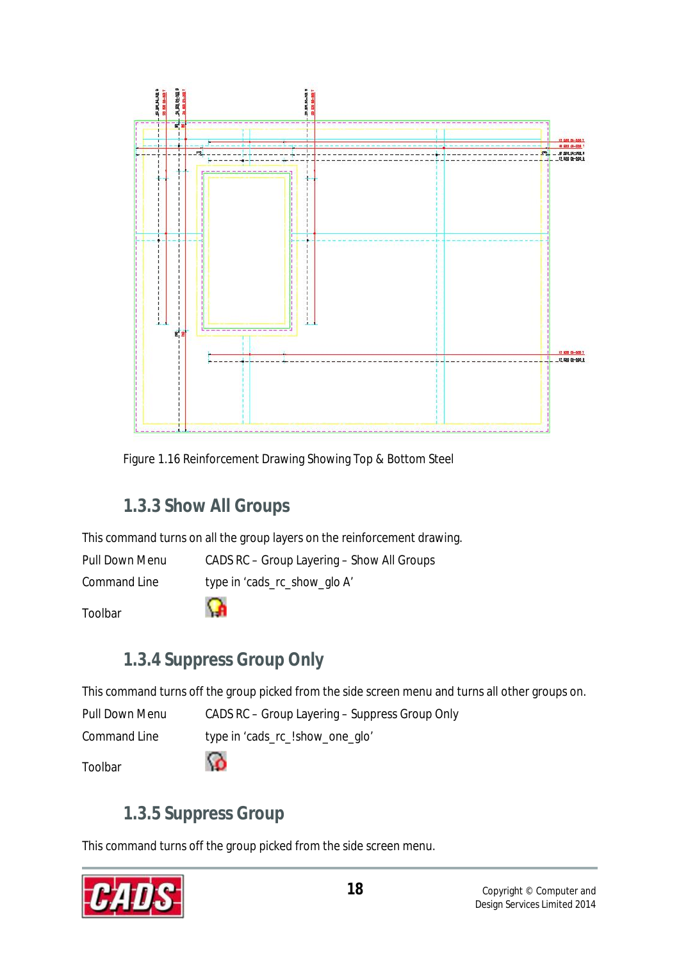

Figure 1.16 Reinforcement Drawing Showing Top & Bottom Steel

## **1.3.3 Show All Groups**

This command turns on all the group layers on the reinforcement drawing.

Pull Down Menu CADS RC – Group Layering – Show All Groups

Command Line type in 'cads\_rc\_show\_glo A'

Toolbar

↷

# **1.3.4 Suppress Group Only**

This command turns off the group picked from the side screen menu and turns all other groups on.

Pull Down Menu CADS RC – Group Layering – Suppress Group Only

Command Line type in 'cads\_rc\_!show\_one\_glo'

Toolbar

# **1.3.5 Suppress Group**

<u>ි</u>

This command turns off the group picked from the side screen menu.